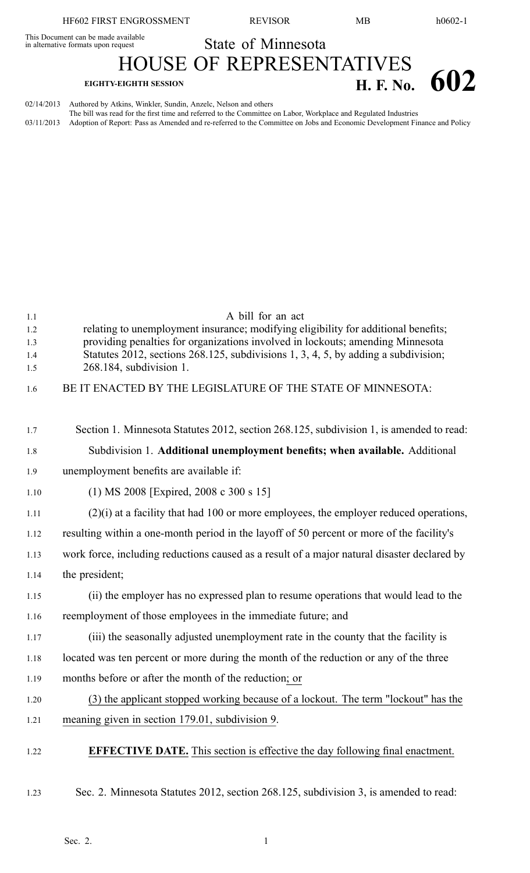This Document can be made available<br>in alternative formats upon request

State of Minnesota HOUSE OF REPRESENTATIVES

## **EIGHTY-EIGHTH SESSION H. F. No. 602**

02/14/2013 Authored by Atkins, Winkler, Sundin, Anzelc, Nelson and others The bill was read for the first time and referred to the Committee on Labor, Workplace and Regulated Industries 03/11/2013 Adoption of Report: Pass as Amended and re-referred to the Committee on Jobs and Economic Development Finance and Policy

| 1.1        | A bill for an act                                                                                                                                                    |  |  |  |  |
|------------|----------------------------------------------------------------------------------------------------------------------------------------------------------------------|--|--|--|--|
| 1.2<br>1.3 | relating to unemployment insurance; modifying eligibility for additional benefits;<br>providing penalties for organizations involved in lockouts; amending Minnesota |  |  |  |  |
| 1.4        | Statutes 2012, sections 268.125, subdivisions 1, 3, 4, 5, by adding a subdivision;                                                                                   |  |  |  |  |
| 1.5        | 268.184, subdivision 1.                                                                                                                                              |  |  |  |  |
| 1.6        | BE IT ENACTED BY THE LEGISLATURE OF THE STATE OF MINNESOTA:                                                                                                          |  |  |  |  |
|            |                                                                                                                                                                      |  |  |  |  |
| 1.7        | Section 1. Minnesota Statutes 2012, section 268.125, subdivision 1, is amended to read:                                                                              |  |  |  |  |
| 1.8        | Subdivision 1. Additional unemployment benefits; when available. Additional                                                                                          |  |  |  |  |
| 1.9        | unemployment benefits are available if:                                                                                                                              |  |  |  |  |
| 1.10       | $(1)$ MS 2008 [Expired, 2008 c 300 s 15]                                                                                                                             |  |  |  |  |
| 1.11       | $(2)(i)$ at a facility that had 100 or more employees, the employer reduced operations,                                                                              |  |  |  |  |
| 1.12       | resulting within a one-month period in the layoff of 50 percent or more of the facility's                                                                            |  |  |  |  |
| 1.13       | work force, including reductions caused as a result of a major natural disaster declared by                                                                          |  |  |  |  |
| 1.14       | the president;                                                                                                                                                       |  |  |  |  |
| 1.15       | (ii) the employer has no expressed plan to resume operations that would lead to the                                                                                  |  |  |  |  |
| 1.16       | reemployment of those employees in the immediate future; and                                                                                                         |  |  |  |  |
| 1.17       | (iii) the seasonally adjusted unemployment rate in the county that the facility is                                                                                   |  |  |  |  |
| 1.18       | located was ten percent or more during the month of the reduction or any of the three                                                                                |  |  |  |  |
| 1.19       | months before or after the month of the reduction; or                                                                                                                |  |  |  |  |
| 1.20       | (3) the applicant stopped working because of a lockout. The term "lockout" has the                                                                                   |  |  |  |  |
| 1.21       | meaning given in section 179.01, subdivision 9.                                                                                                                      |  |  |  |  |
| 1.22       | <b>EFFECTIVE DATE.</b> This section is effective the day following final enactment.                                                                                  |  |  |  |  |
| 1.23       | Sec. 2. Minnesota Statutes 2012, section 268.125, subdivision 3, is amended to read:                                                                                 |  |  |  |  |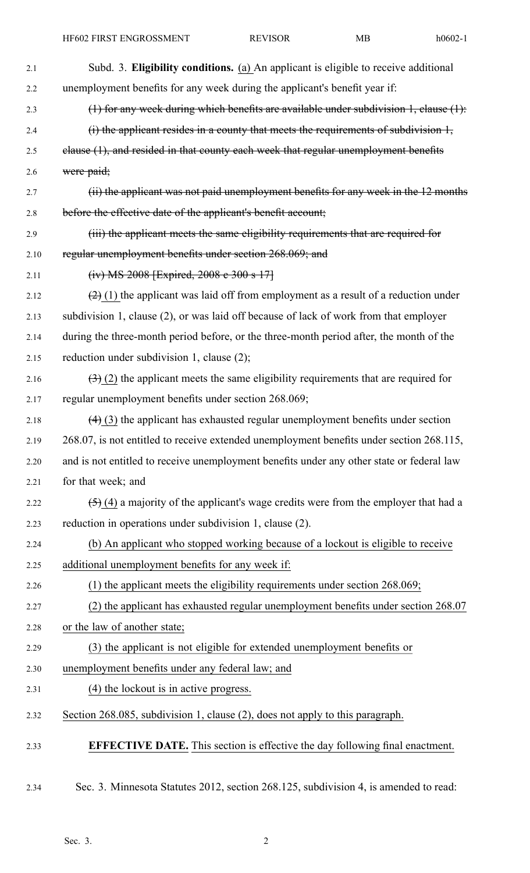| 2.1  | Subd. 3. Eligibility conditions. (a) An applicant is eligible to receive additional         |
|------|---------------------------------------------------------------------------------------------|
| 2.2  | unemployment benefits for any week during the applicant's benefit year if:                  |
| 2.3  | (1) for any week during which benefits are available under subdivision $1$ , clause $(1)$ : |
| 2.4  | $(i)$ the applicant resides in a county that meets the requirements of subdivision $l$ ,    |
| 2.5  | elause (1), and resided in that county each week that regular unemployment benefits         |
| 2.6  | were paid;                                                                                  |
| 2.7  | (ii) the applicant was not paid unemployment benefits for any week in the 12 months         |
| 2.8  | before the effective date of the applicant's benefit account;                               |
| 2.9  | (iii) the applicant meets the same eligibility requirements that are required for           |
| 2.10 | regular unemployment benefits under section 268.069; and                                    |
| 2.11 | (iv) MS 2008 [Expired, 2008 e 300 s 17]                                                     |
| 2.12 | $(2)$ (1) the applicant was laid off from employment as a result of a reduction under       |
| 2.13 | subdivision 1, clause (2), or was laid off because of lack of work from that employer       |
| 2.14 | during the three-month period before, or the three-month period after, the month of the     |
| 2.15 | reduction under subdivision 1, clause (2);                                                  |
| 2.16 | $(3)(2)$ the applicant meets the same eligibility requirements that are required for        |
| 2.17 | regular unemployment benefits under section 268.069;                                        |
| 2.18 | $(4)$ (3) the applicant has exhausted regular unemployment benefits under section           |
| 2.19 | 268.07, is not entitled to receive extended unemployment benefits under section 268.115,    |
| 2.20 | and is not entitled to receive unemployment benefits under any other state or federal law   |
| 2.21 | for that week; and                                                                          |
| 2.22 | $(5)$ (4) a majority of the applicant's wage credits were from the employer that had a      |
| 2.23 | reduction in operations under subdivision 1, clause (2).                                    |
| 2.24 | (b) An applicant who stopped working because of a lockout is eligible to receive            |
| 2.25 | additional unemployment benefits for any week if:                                           |
| 2.26 | $(1)$ the applicant meets the eligibility requirements under section 268.069;               |
| 2.27 | (2) the applicant has exhausted regular unemployment benefits under section 268.07          |
| 2.28 | or the law of another state;                                                                |
| 2.29 | (3) the applicant is not eligible for extended unemployment benefits or                     |
| 2.30 | unemployment benefits under any federal law; and                                            |
| 2.31 | (4) the lockout is in active progress.                                                      |
| 2.32 | Section 268.085, subdivision 1, clause (2), does not apply to this paragraph.               |
| 2.33 | <b>EFFECTIVE DATE.</b> This section is effective the day following final enactment.         |
|      |                                                                                             |

2.34 Sec. 3. Minnesota Statutes 2012, section 268.125, subdivision 4, is amended to read: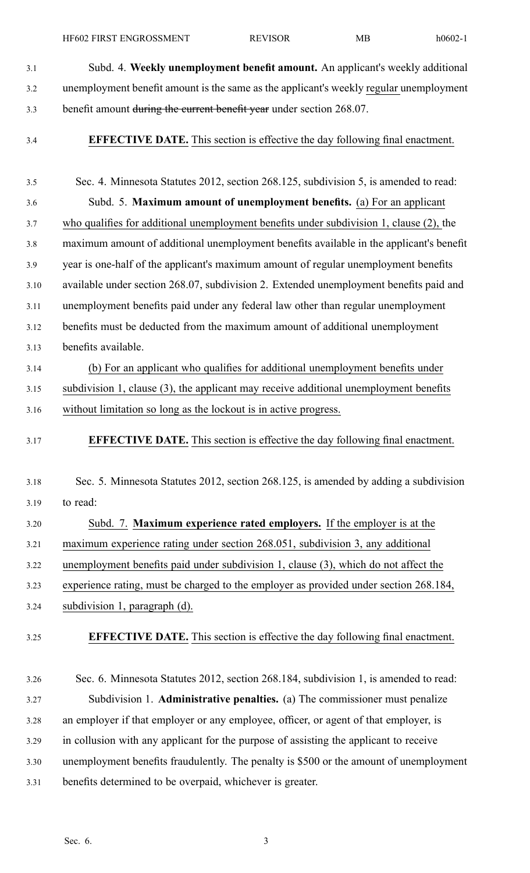HF602 FIRST ENGROSSMENT REVISOR MB h0602-1

- 3.1 Subd. 4. **Weekly unemployment benefit amount.** An applicant's weekly additional 3.2 unemployment benefit amount is the same as the applicant's weekly regular unemployment 3.3 benefit amount during the current benefit year under section 268.07.
- 

3.4 **EFFECTIVE DATE.** This section is effective the day following final enactment.

- 3.5 Sec. 4. Minnesota Statutes 2012, section 268.125, subdivision 5, is amended to read: 3.6 Subd. 5. **Maximum amount of unemployment benefits.** (a) For an applicant 3.7 who qualifies for additional unemployment benefits under subdivision 1, clause (2), the 3.8 maximum amount of additional unemployment benefits available in the applicant's benefit 3.9 year is one-half of the applicant's maximum amount of regular unemployment benefits 3.10 available under section 268.07, subdivision 2. Extended unemployment benefits paid and 3.11 unemployment benefits paid under any federal law other than regular unemployment 3.12 benefits must be deducted from the maximum amount of additional unemployment 3.13 benefits available. 3.14 (b) For an applicant who qualifies for additional unemployment benefits under 3.15 subdivision 1, clause (3), the applicant may receive additional unemployment benefits 3.16 without limitation so long as the lockout is in active progress. 3.17 **EFFECTIVE DATE.** This section is effective the day following final enactment. 3.18 Sec. 5. Minnesota Statutes 2012, section 268.125, is amended by adding <sup>a</sup> subdivision 3.19 to read: 3.20 Subd. 7. **Maximum experience rated employers.** If the employer is at the 3.21 maximum experience rating under section 268.051, subdivision 3, any additional 3.22 unemployment benefits paid under subdivision 1, clause (3), which do not affect the 3.23 experience rating, must be charged to the employer as provided under section 268.184, 3.24 subdivision 1, paragraph (d). 3.25 **EFFECTIVE DATE.** This section is effective the day following final enactment. 3.26 Sec. 6. Minnesota Statutes 2012, section 268.184, subdivision 1, is amended to read: 3.27 Subdivision 1. **Administrative penalties.** (a) The commissioner must penalize 3.28 an employer if that employer or any employee, officer, or agen<sup>t</sup> of that employer, is 3.29 in collusion with any applicant for the purpose of assisting the applicant to receive 3.30 unemployment benefits fraudulently. The penalty is \$500 or the amount of unemployment
- 3.31 benefits determined to be overpaid, whichever is greater.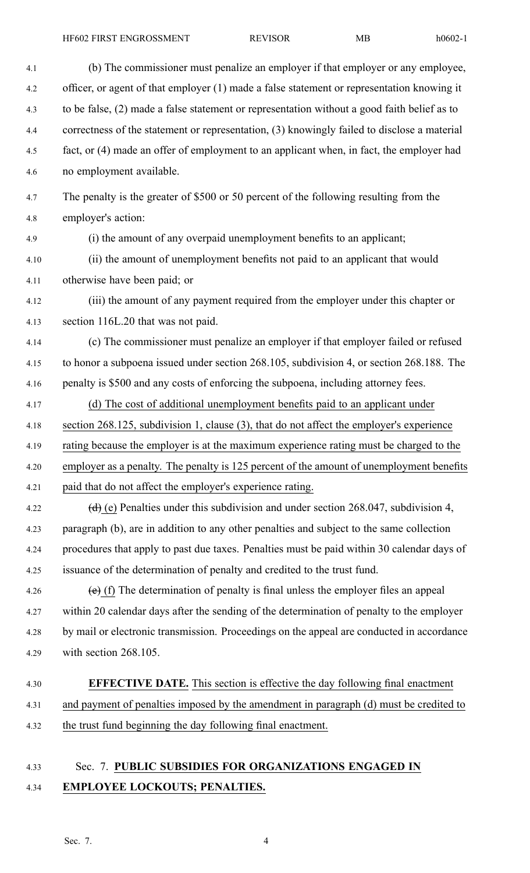4.8 employer's action:

- 4.1 (b) The commissioner must penalize an employer if that employer or any employee, 4.2 officer, or agen<sup>t</sup> of that employer (1) made <sup>a</sup> false statement or representation knowing it 4.3 to be false, (2) made <sup>a</sup> false statement or representation without <sup>a</sup> good faith belief as to 4.4 correctness of the statement or representation, (3) knowingly failed to disclose <sup>a</sup> material 4.5 fact, or (4) made an offer of employment to an applicant when, in fact, the employer had 4.6 no employment available. 4.7 The penalty is the greater of \$500 or 50 percen<sup>t</sup> of the following resulting from the 4.9 (i) the amount of any overpaid unemployment benefits to an applicant; 4.10 (ii) the amount of unemployment benefits not paid to an applicant that would 4.11 otherwise have been paid; or
- 4.12 (iii) the amount of any paymen<sup>t</sup> required from the employer under this chapter or 4.13 section 116L.20 that was not paid.
- 4.14 (c) The commissioner must penalize an employer if that employer failed or refused
- 4.15 to honor <sup>a</sup> subpoena issued under section 268.105, subdivision 4, or section 268.188. The
- 4.16 penalty is \$500 and any costs of enforcing the subpoena, including attorney fees.
- 4.17 (d) The cost of additional unemployment benefits paid to an applicant under 4.18 section 268.125, subdivision 1, clause (3), that do not affect the employer's experience
- 4.19 rating because the employer is at the maximum experience rating must be charged to the
- 4.20 employer as <sup>a</sup> penalty. The penalty is 125 percen<sup>t</sup> of the amount of unemployment benefits
- 4.21 paid that do not affect the employer's experience rating.
- 4.22 (d) (e) Penalties under this subdivision and under section 268.047, subdivision 4, 4.23 paragraph (b), are in addition to any other penalties and subject to the same collection 4.24 procedures that apply to pas<sup>t</sup> due taxes. Penalties must be paid within 30 calendar days of 4.25 issuance of the determination of penalty and credited to the trust fund.
- 4.26 (e) (f) The determination of penalty is final unless the employer files an appeal 4.27 within 20 calendar days after the sending of the determination of penalty to the employer 4.28 by mail or electronic transmission. Proceedings on the appeal are conducted in accordance 4.29 with section 268.105.

## 4.30 **EFFECTIVE DATE.** This section is effective the day following final enactment 4.31 and paymen<sup>t</sup> of penalties imposed by the amendment in paragraph (d) must be credited to 4.32 the trust fund beginning the day following final enactment.

## 4.33 Sec. 7. **PUBLIC SUBSIDIES FOR ORGANIZATIONS ENGAGED IN** 4.34 **EMPLOYEE LOCKOUTS; PENALTIES.**